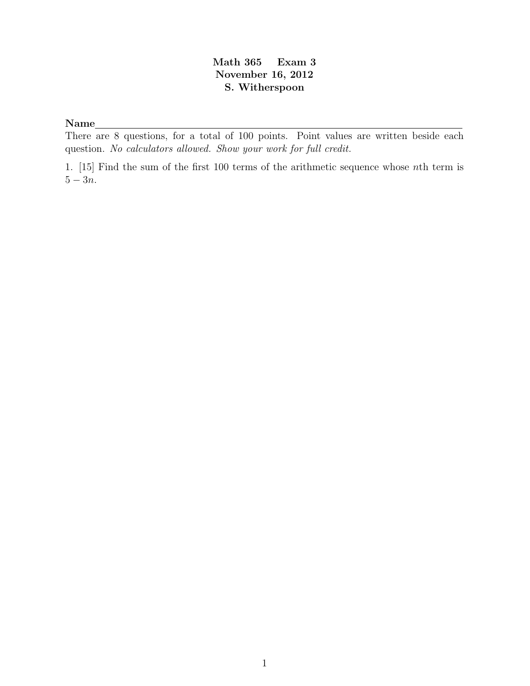## Math 365 Exam 3 November 16, 2012 S. Witherspoon

## Name

There are 8 questions, for a total of 100 points. Point values are written beside each question. No calculators allowed. Show your work for full credit.

1. [15] Find the sum of the first 100 terms of the arithmetic sequence whose nth term is  $5 - 3n$ .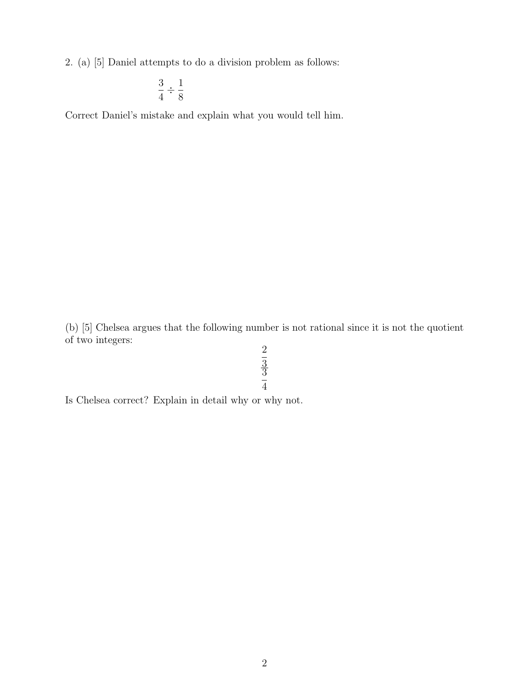2. (a) [5] Daniel attempts to do a division problem as follows:

$$
\frac{3}{4} \div \frac{1}{8}
$$

Correct Daniel's mistake and explain what you would tell him.

(b) [5] Chelsea argues that the following number is not rational since it is not the quotient of two integers:

2 3 3 4

Is Chelsea correct? Explain in detail why or why not.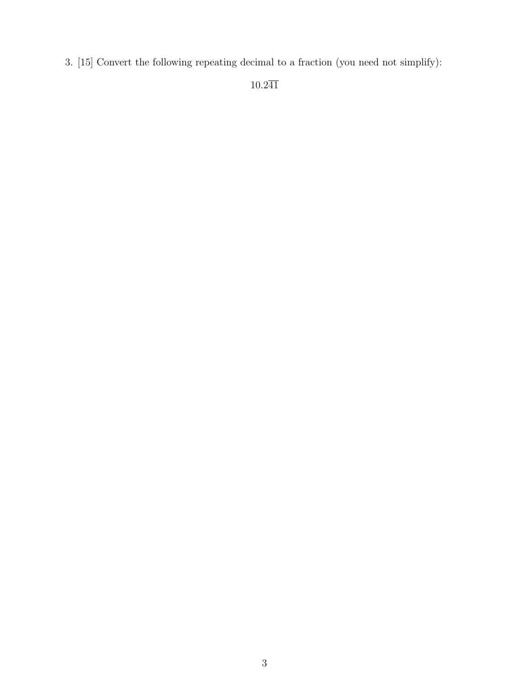3. [15] Convert the following repeating decimal to a fraction (you need not simplify):

 $10.2\overline{4}\overline{1}$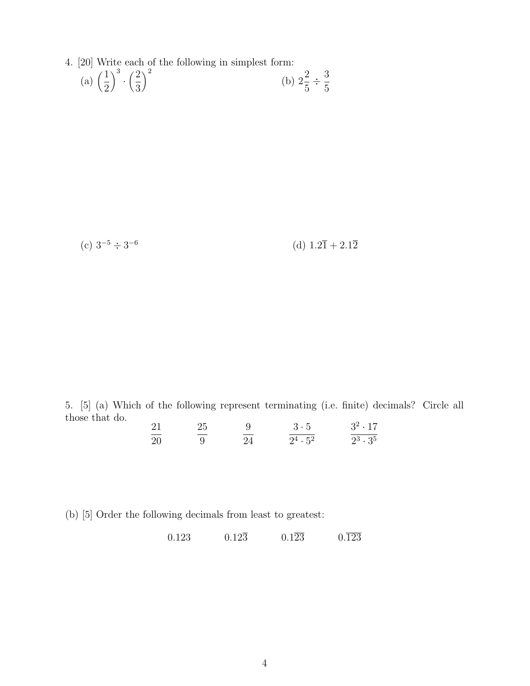4. [20] Write each of the following in simplest form:

(a) 
$$
\left(\frac{1}{2}\right)^3 \cdot \left(\frac{2}{3}\right)^2
$$
 (b)  $2\frac{2}{5} \div \frac{3}{5}$ 

 $(c)$  3<sup>-5</sup> ÷ 3<sup>-6</sup>

(d)  $1.2\bar{1} + 2.1\bar{2}$ 

5. [5] (a) Which of the following represent terminating (i.e. finite) decimals? Circle all those that do.  $21$  $25$  $\overline{Q}$ 3 · 5  $3^2 \cdot 17$ 

| $\lambda$ | $\overline{2}$ |     | . <u>.</u> | $5 - 11$ |
|-----------|----------------|-----|------------|----------|
| -20       | ___            | --- | 24.52      | 23.35    |

(b) [5] Order the following decimals from least to greatest:

 $0.123$   $0.12\overline{3}$   $0.1\overline{23}$   $0.\overline{123}$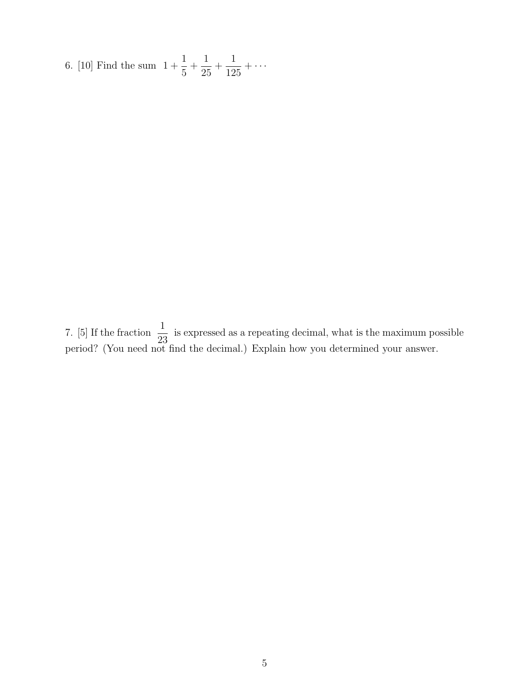6. [10] Find the sum  $1 + \frac{1}{5}$ 5  $+$ 1 25  $+$ 1 125  $+ \cdots$ 

7. [5] If the fraction  $\frac{1}{29}$ 23 is expressed as a repeating decimal, what is the maximum possible period? (You need not find the decimal.) Explain how you determined your answer.